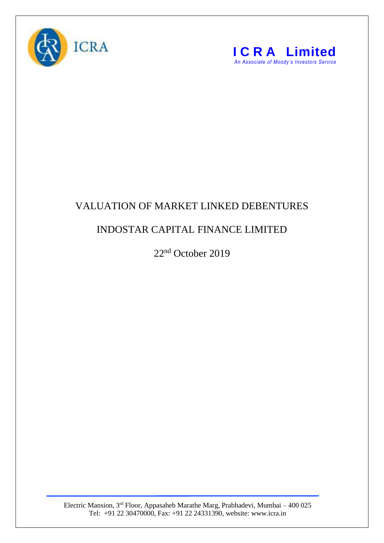



## VALUATION OF MARKET LINKED DEBENTURES

## INDOSTAR CAPITAL FINANCE LIMITED

22nd October 2019

Electric Mansion, 3<sup>rd</sup> Floor, Appasaheb Marathe Marg, Prabhadevi, Mumbai – 400 025 Tel: +91 22 30470000, Fax: +91 22 24331390, website: www.icra.in